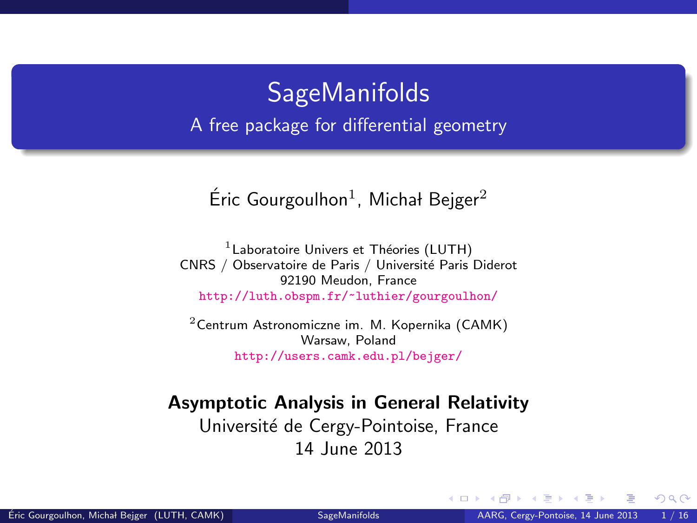### **SageManifolds** A free package for differential geometry

### Éric Gourgoulhon<sup>1</sup>, Michał Bejger<sup>2</sup>

 $<sup>1</sup>$  Laboratoire Univers et Théories (LUTH)</sup> CNRS / Observatoire de Paris / Université Paris Diderot 92190 Meudon, France <http://luth.obspm.fr/~luthier/gourgoulhon/>

 $2$ [Centrum Astronomiczne im. M. Kopernika \(CAMK\)](http://www.camk.edu.pl) Warsaw, Poland <http://users.camk.edu.pl/bejger/>

#### Asymptotic Analysis in General Relativity

Université de Cergy-Pointoise, France 14 June 2013

<span id="page-0-0"></span> $\Omega$ 

4 0 8 4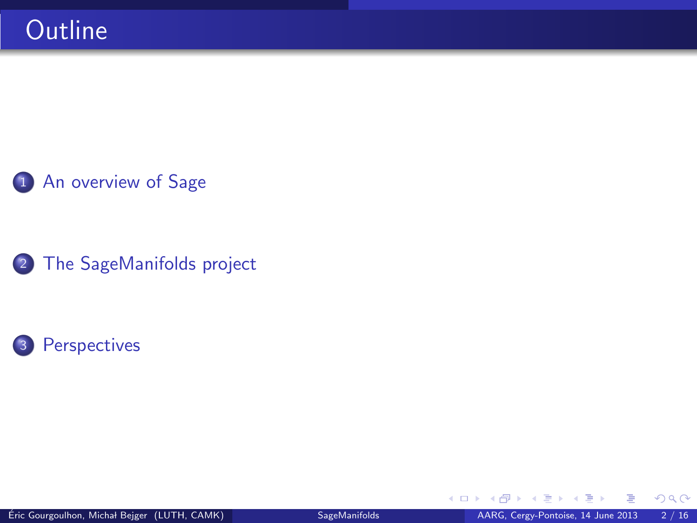### 1 [An overview of Sage](#page-2-0)

2 [The SageManifolds project](#page-6-0)



4 日下

 $299$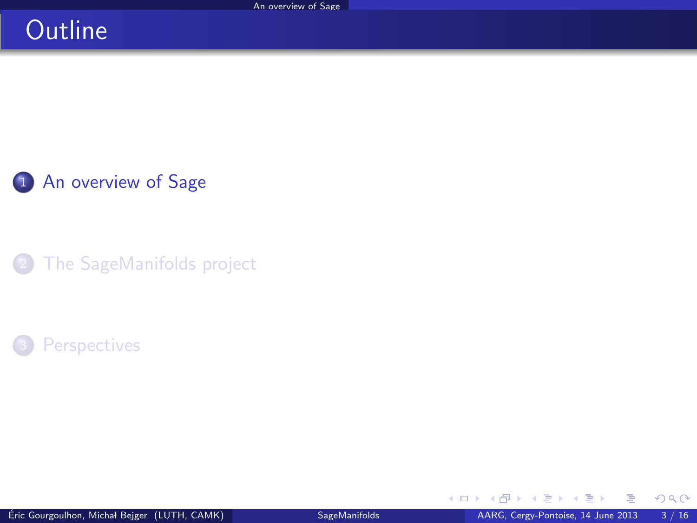### **Outline**

1 [An overview of Sage](#page-2-0)

[The SageManifolds project](#page-6-0)

#### **[Perspectives](#page-14-0)**

K ロ ▶ K 御 ▶ K 경 ▶ K 경

<span id="page-2-0"></span> $299$ 

∍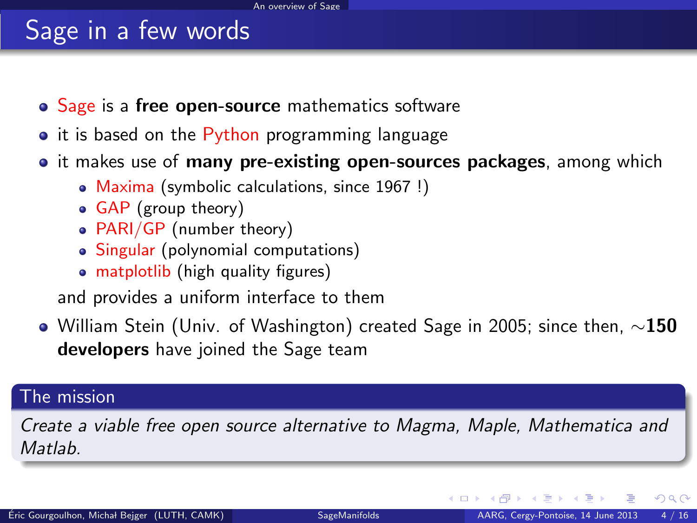## Sage in a few words

- Sage is a free open-source mathematics software
- it is based on the Python programming language
- it makes use of **many pre-existing open-sources packages**, among which
	- Maxima (symbolic calculations, since 1967 !)
	- GAP (group theory)
	- PARI/GP (number theory)
	- Singular (polynomial computations)
	- matplotlib (high quality figures)

<span id="page-3-0"></span>and provides a uniform interface to them

 $\bullet$  William Stein (Univ. of Washington) created Sage in 2005; since then,  $\sim$ 150 developers have joined the Sage team

#### The mission

Create a viable free open source alternative to Magma, Maple, Mathematica and **Matlah**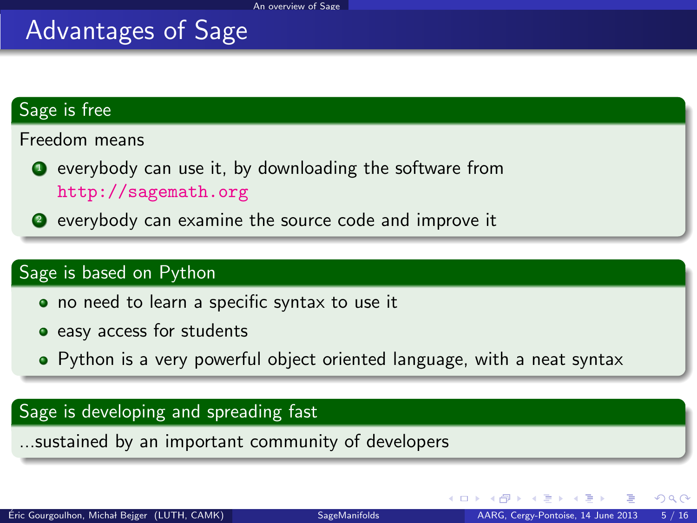### Advantages of Sage

#### Sage is free

Freedom means

- **•** everybody can use it, by downloading the software from <http://sagemath.org>
- <sup>2</sup> everybody can examine the source code and improve it

#### Sage is based on Python

- no need to learn a specific syntax to use it
- easy access for students
- Python is a very powerful object oriented language, with a neat syntax

#### Sage is developing and spreading fast

...sustained by an important community of developers

<span id="page-4-0"></span> $\Omega$ 

4 0 8 4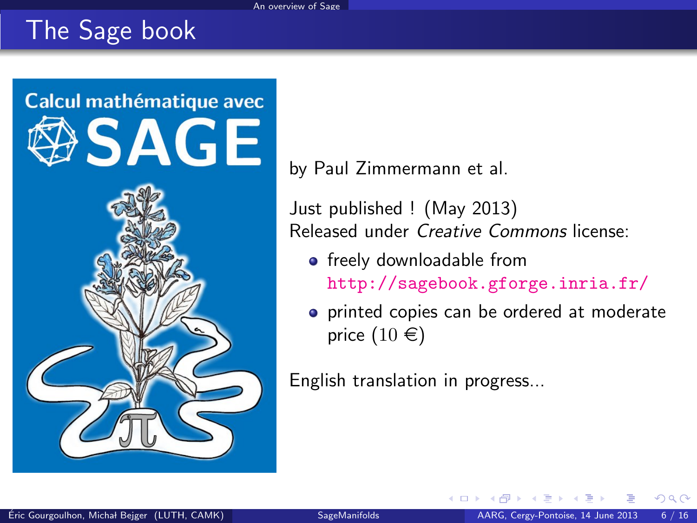## The Sage book



by Paul Zimmermann et al.

Just published ! (May 2013) Released under Creative Commons license:

- freely downloadable from <http://sagebook.gforge.inria.fr/>
- **•** printed copies can be ordered at moderate price  $(10 \in)$

English translation in progress...

<span id="page-5-0"></span> $\cap$   $\cap$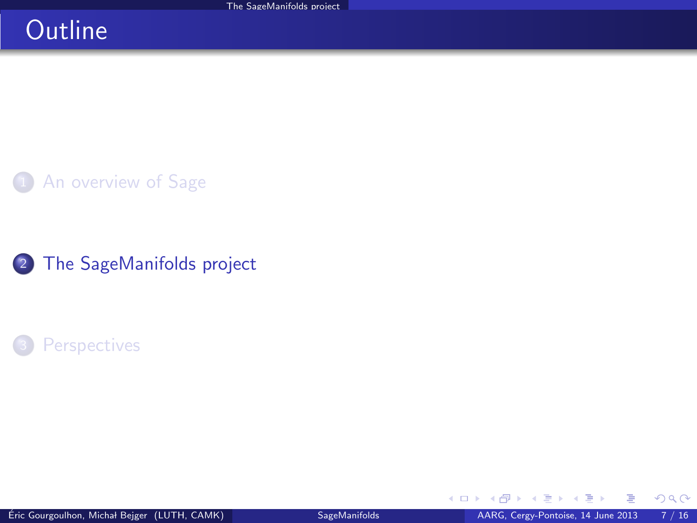### **Outline**

**1** [An overview of Sage](#page-2-0)

2 [The SageManifolds project](#page-6-0)

#### **[Perspectives](#page-14-0)**

4 0 8 4

AD > + 3

<span id="page-6-0"></span> $299$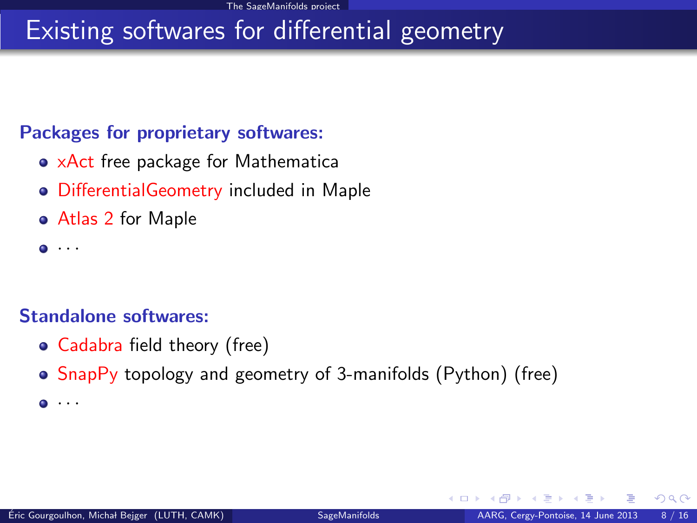### Existing softwares for differential geometry

#### Packages for proprietary softwares:

- xAct free package for Mathematica
- DifferentialGeometry included in Maple
- Atlas 2 for Maple
- $\bullet$   $\cdot$   $\cdot$   $\cdot$

#### Standalone softwares:

- Cadabra field theory (free)
- SnapPy topology and geometry of 3-manifolds (Python) (free)
- <span id="page-7-0"></span> $\bullet$   $\cdot$   $\cdot$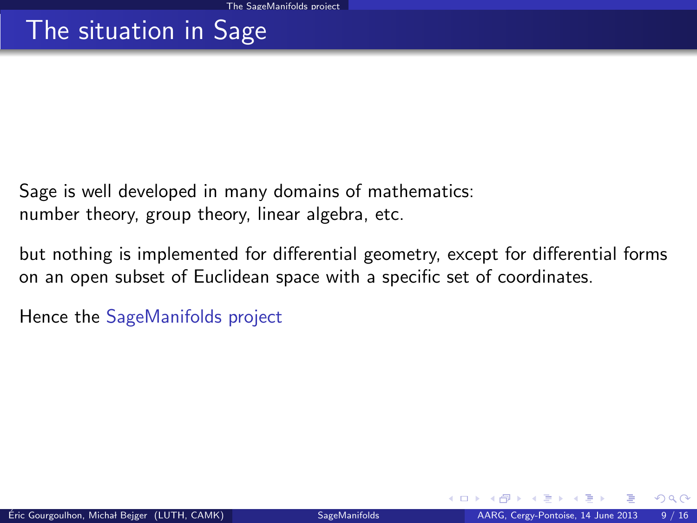### The situation in Sage

Sage is well developed in many domains of mathematics: number theory, group theory, linear algebra, etc.

but nothing is implemented for differential geometry, except for differential forms on an open subset of Euclidean space with a specific set of coordinates.

<span id="page-8-0"></span>Hence the SageManifolds project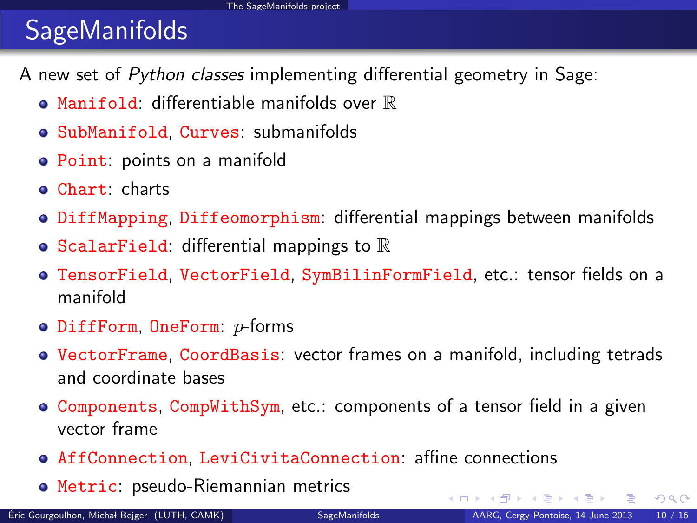# **SageManifolds**

A new set of Python classes implementing differential geometry in Sage:

- $\bullet$  Manifold: differentiable manifolds over  $\mathbb R$
- SubManifold, Curves: submanifolds
- Point: points on a manifold
- Chart: charts
- **DiffMapping, Diffeomorphism: differential mappings between manifolds**
- ScalarField: differential mappings to  $\mathbb R$
- TensorField, VectorField, SymBilinFormField, etc.: tensor fields on a manifold
- $\bullet$  DiffForm, OneForm:  $p$ -forms
- VectorFrame, CoordBasis: vector frames on a manifold, including tetrads and coordinate bases
- Components, CompWithSym, etc.: components of a tensor field in a given vector frame
- AffConnection, LeviCivitaConnection: affine connections
- Metric: pseudo-Riemannian metrics

<span id="page-9-0"></span> $\Omega$ 

 $\mathbb{R}^n \times \mathbb{R}^n \xrightarrow{\text{def}} \mathbb{R}^n \times \mathbb{R}^n \xrightarrow{\text{def}} \mathbb{R}^n$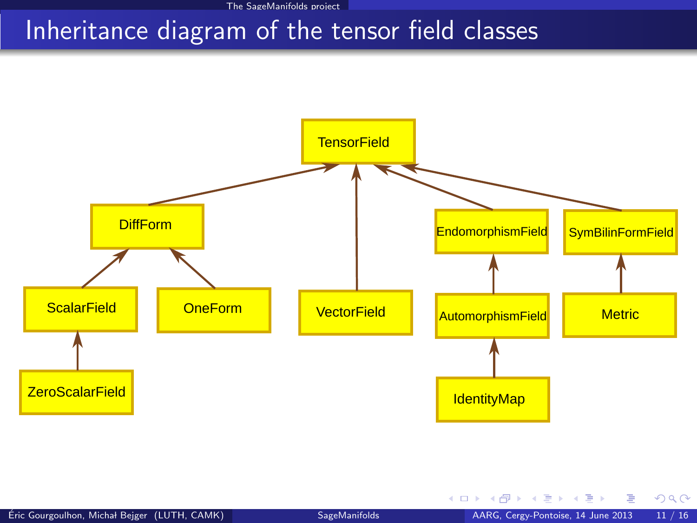### Inheritance diagram of the tensor field classes



Ğ.

<span id="page-10-0"></span> $299$ 

メロメ メ御き メミメ メミメ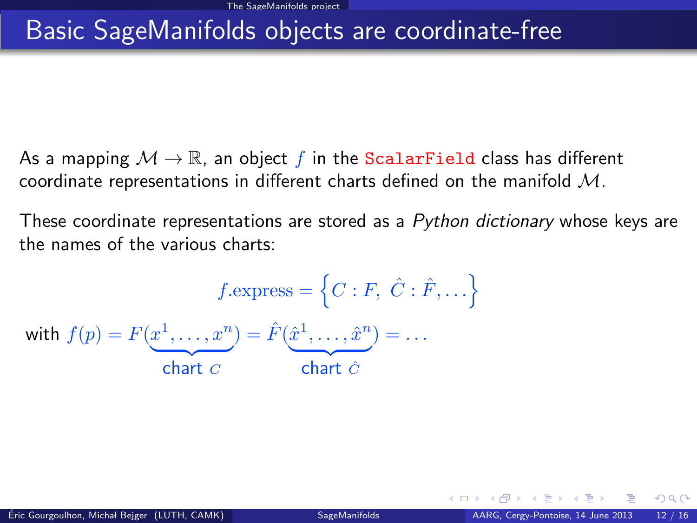### Basic SageManifolds objects are coordinate-free

- As a mapping  $M \to \mathbb{R}$ , an object f in the ScalarField class has different coordinate representations in different charts defined on the manifold M.
- These coordinate representations are stored as a Python dictionary whose keys are the names of the various charts:

<span id="page-11-0"></span>
$$
f.\text{express} = \left\{C : F, \ \hat{C} : \hat{F}, \ldots\right\}
$$
\nwith  $f(p) = F(\underbrace{x^1, \ldots, x^n}_{\text{chart } C}) = \hat{F}(\underbrace{\hat{x}^1, \ldots, \hat{x}^n}_{\text{chart } \hat{C}}) = \ldots$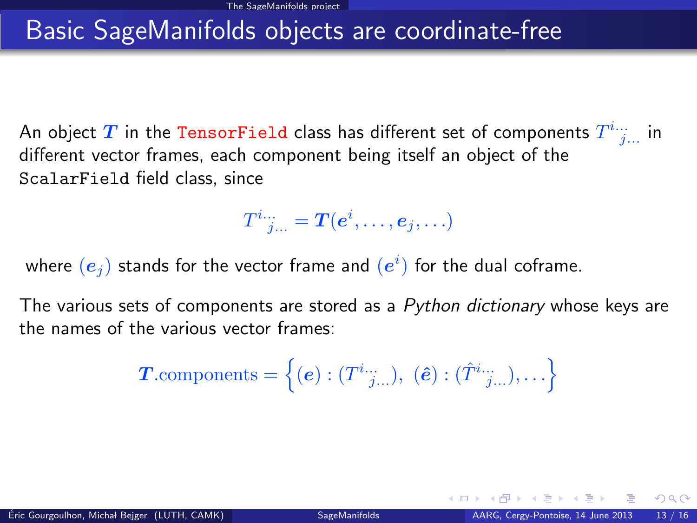### Basic SageManifolds objects are coordinate-free

An object  $T$  in the TensorField class has different set of components  $T^{i...}_{\quad j...}$  in different vector frames, each component being itself an object of the ScalarField field class, since

<span id="page-12-0"></span> $T^i{}_{j...}^{\ldots}= \bm{T}(\bm{e}^i,\ldots,\bm{e}_j,\ldots)$ 

where  $\left( \bm{e}_j \right)$  stands for the vector frame and  $\left( e^i \right)$  for the dual coframe.

The various sets of components are stored as a Python dictionary whose keys are the names of the various vector frames:

$$
\boldsymbol{T}.\text{components} = \left\{ \left(\boldsymbol{e}\right) : (T^i{}^{i...}_{\quad j...}), \; \left(\boldsymbol{\hat{e}}\right) : (\hat{T}^i{}^{i...}_{\quad j...}), \ldots \right\}
$$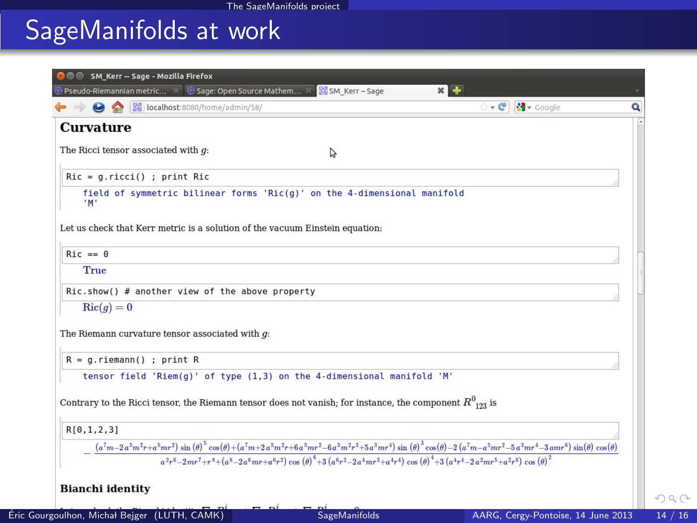# SageManifolds at work

| <b>COO</b> SM Kerr - Sage - Mozilla Firefox                                                                                                                                                              |
|----------------------------------------------------------------------------------------------------------------------------------------------------------------------------------------------------------|
| $\overline{\mathbf{\Theta}}$ Pseudo-Riemannian metric $\times$ $\overline{\mathbf{\Theta}}$ Sage: Open Source Mathem $\times$<br>SM_Kerr-Sage<br>×І                                                      |
| ☆ v C   K v Google<br>Collect:8080/home/admin/58/<br>Q                                                                                                                                                   |
| <b>Curvature</b>                                                                                                                                                                                         |
| The Ricci tensor associated with $q$ :<br>A                                                                                                                                                              |
| $Ric = g.ricci()$ ; print Ric                                                                                                                                                                            |
| field of symmetric bilinear forms 'Ric(g)' on the 4-dimensional manifold<br>"M"                                                                                                                          |
| Let us check that Kerr metric is a solution of the vacuum Einstein equation:                                                                                                                             |
| $Ric == 0$                                                                                                                                                                                               |
| True                                                                                                                                                                                                     |
| $Ric.show()$ # another view of the above property                                                                                                                                                        |
| $\text{Ric}(q)=0$                                                                                                                                                                                        |
| The Riemann curvature tensor associated with $q$ :                                                                                                                                                       |
| $R = q$ . riemann() ; print R                                                                                                                                                                            |
| tensor field 'Riem(q)' of type (1,3) on the 4-dimensional manifold 'M'                                                                                                                                   |
| Contrary to the Ricci tensor, the Riemann tensor does not vanish; for instance, the component $R^0_{123}$ is                                                                                             |
| R[0,1,2,3]                                                                                                                                                                                               |
| $(a^7m - 2a^5m^2r + a^5mr^2)\sin(\theta)^5\cos(\theta) + (a^7m + 2a^5m^2r + 6a^5mr^2 - 6a^3m^2r^3 + 5a^3mr^4)\sin(\theta)^3\cos(\theta) - 2(a^7m - a^5mr^2 - 5a^3mr^4 - 3amr^6)\sin(\theta)\cos(\theta)$ |
| $a^2r^6-2mr^7+r^8+(a^8-2a^6mr+a^6r^2)\cos(\theta)^6+3(a^6r^2-2a^4mr^3+a^4r^4)\cos(\theta)^4+3(a^4r^4-2a^2mr^5+a^2r^6)\cos(\theta)^2$                                                                     |
| <b>Bianchi identity</b><br>$  -$                                                                                                                                                                         |

<span id="page-13-0"></span> $299$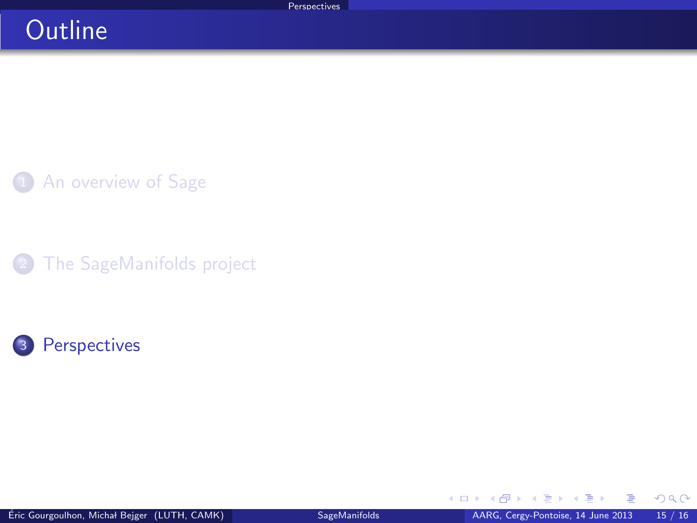### **Outline**

1 [An overview of Sage](#page-2-0)

[The SageManifolds project](#page-6-0)



K ロ ▶ K 御 ▶ K 경 ▶ K 경

<span id="page-14-0"></span> $299$ 

ŧ